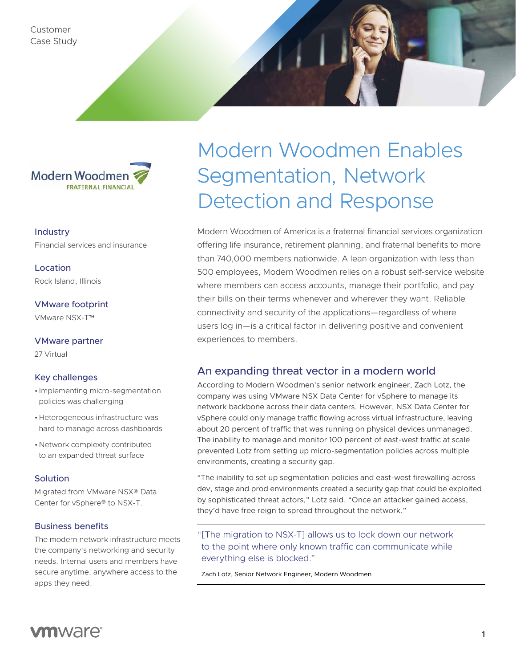Customer Case Study



# Industry

Financial services and insurance

Location Rock Island, Illinois

VMware footprint VMware NSX-T™

VMware partner

27 Virtual

#### Key challenges

- Implementing micro-segmentation policies was challenging
- •Heterogeneous infrastructure was hard to manage across dashboards
- •Network complexity contributed to an expanded threat surface

#### **Solution**

Migrated from VMware NSX® Data Center for vSphere® to NSX-T.

#### Business benefits

The modern network infrastructure meets the company's networking and security needs. Internal users and members have secure anytime, anywhere access to the apps they need.

# Modern Woodmen Enables Segmentation, Network Detection and Response

Modern Woodmen of America is a fraternal financial services organization offering life insurance, retirement planning, and fraternal benefits to more than 740,000 members nationwide. A lean organization with less than 500 employees, Modern Woodmen relies on a robust self-service website where members can access accounts, manage their portfolio, and pay their bills on their terms whenever and wherever they want. Reliable connectivity and security of the applications—regardless of where users log in—is a critical factor in delivering positive and convenient experiences to members.

# An expanding threat vector in a modern world

According to Modern Woodmen's senior network engineer, Zach Lotz, the company was using VMware NSX Data Center for vSphere to manage its network backbone across their data centers. However, NSX Data Center for vSphere could only manage traffic flowing across virtual infrastructure, leaving about 20 percent of traffic that was running on physical devices unmanaged. The inability to manage and monitor 100 percent of east-west traffic at scale prevented Lotz from setting up micro-segmentation policies across multiple environments, creating a security gap.

"The inability to set up segmentation policies and east-west firewalling across dev, stage and prod environments created a security gap that could be exploited by sophisticated threat actors," Lotz said. "Once an attacker gained access, they'd have free reign to spread throughout the network."

"[The migration to NSX-T] allows us to lock down our network to the point where only known traffic can communicate while everything else is blocked."

Zach Lotz, Senior Network Engineer, Modern Woodmen

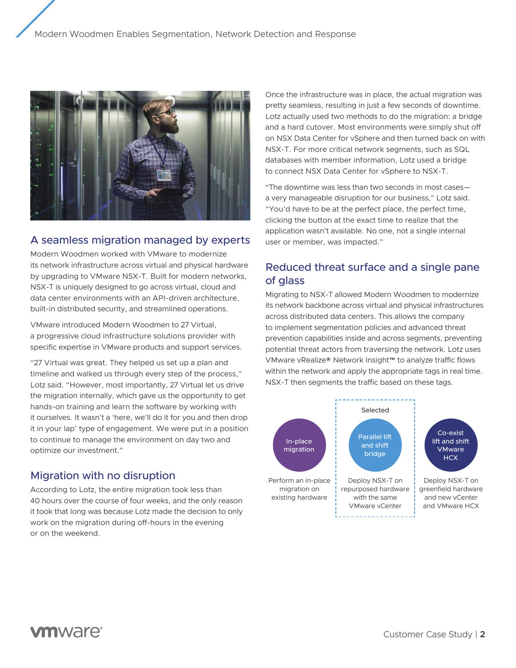

#### A seamless migration managed by experts

Modern Woodmen worked with VMware to modernize its network infrastructure across virtual and physical hardware by upgrading to VMware NSX-T. Built for modern networks, NSX-T is uniquely designed to go across virtual, cloud and data center environments with an API-driven architecture, built-in distributed security, and streamlined operations.

VMware introduced Modern Woodmen to 27 Virtual, a progressive cloud infrastructure solutions provider with specific expertise in VMware products and support services.

"27 Virtual was great. They helped us set up a plan and timeline and walked us through every step of the process," Lotz said. "However, most importantly, 27 Virtual let us drive the migration internally, which gave us the opportunity to get hands-on training and learn the software by working with it ourselves. It wasn't a 'here, we'll do it for you and then drop it in your lap' type of engagement. We were put in a position to continue to manage the environment on day two and optimize our investment."

#### Migration with no disruption

According to Lotz, the entire migration took less than 40 hours over the course of four weeks, and the only reason it took that long was because Lotz made the decision to only work on the migration during off-hours in the evening or on the weekend.

Once the infrastructure was in place, the actual migration was pretty seamless, resulting in just a few seconds of downtime. Lotz actually used two methods to do the migration: a bridge and a hard cutover. Most environments were simply shut off on NSX Data Center for vSphere and then turned back on with NSX-T. For more critical network segments, such as SQL databases with member information, Lotz used a bridge to connect NSX Data Center for vSphere to NSX-T.

"The downtime was less than two seconds in most cases a very manageable disruption for our business," Lotz said. "You'd have to be at the perfect place, the perfect time, clicking the button at the exact time to realize that the application wasn't available. No one, not a single internal user or member, was impacted."

# Reduced threat surface and a single pane of glass

Migrating to NSX-T allowed Modern Woodmen to modernize its network backbone across virtual and physical infrastructures across distributed data centers. This allows the company to implement segmentation policies and advanced threat prevention capabilities inside and across segments, preventing potential threat actors from traversing the network. Lotz uses VMware vRealize® Network Insight™ to analyze traffic flows within the network and apply the appropriate tags in real time. NSX-T then segments the traffic based on these tags.



# **vm**ware<sup>®</sup>